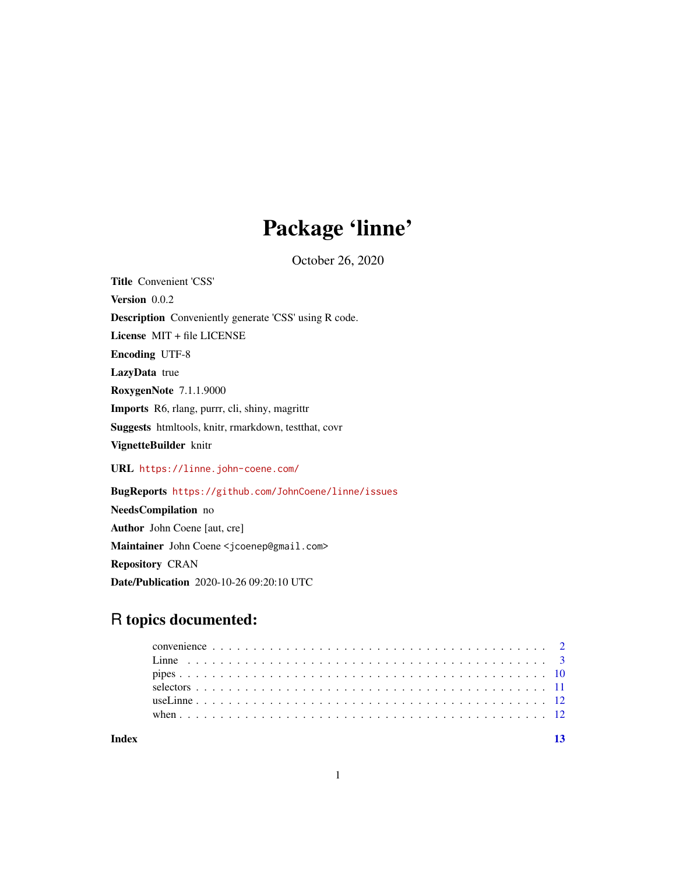# Package 'linne'

October 26, 2020

<span id="page-0-0"></span>Title Convenient 'CSS' Version 0.0.2 Description Conveniently generate 'CSS' using R code. License MIT + file LICENSE Encoding UTF-8 LazyData true RoxygenNote 7.1.1.9000 Imports R6, rlang, purrr, cli, shiny, magrittr Suggests htmltools, knitr, rmarkdown, testthat, covr VignetteBuilder knitr URL <https://linne.john-coene.com/>

BugReports <https://github.com/JohnCoene/linne/issues> NeedsCompilation no Author John Coene [aut, cre] Maintainer John Coene <jcoenep@gmail.com> Repository CRAN Date/Publication 2020-10-26 09:20:10 UTC

## R topics documented: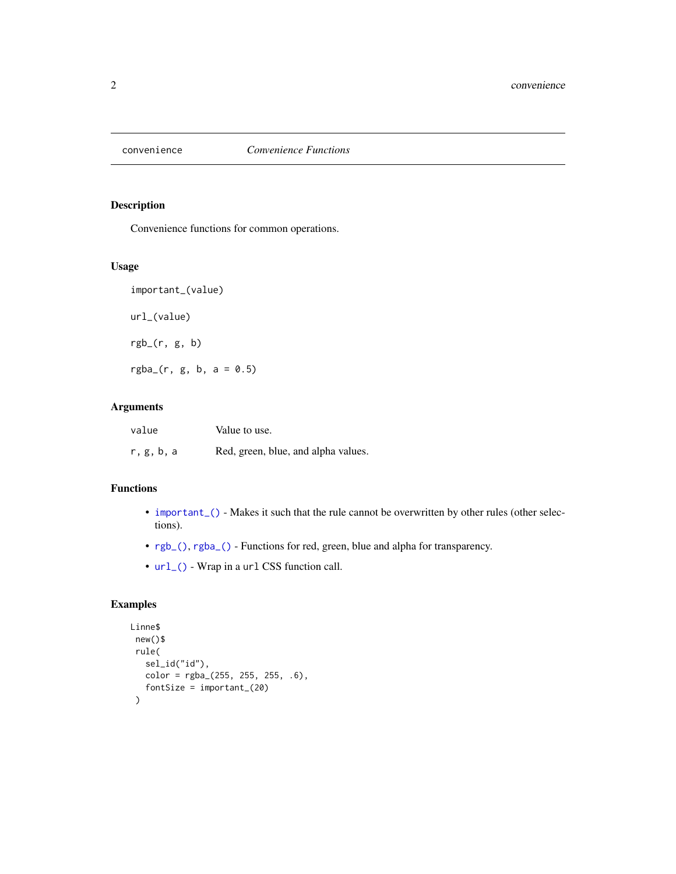<span id="page-1-0"></span>

## <span id="page-1-1"></span>Description

Convenience functions for common operations.

## Usage

important\_(value) url\_(value) rgb\_(r, g, b)  $rgba_{-}(r, g, b, a = 0.5)$ 

## Arguments

| value      | Value to use.                       |
|------------|-------------------------------------|
| r, g, b, a | Red, green, blue, and alpha values. |

## Functions

- important<sub>-(</sub>) Makes it such that the rule cannot be overwritten by other rules (other selections).
- [rgb\\_\(\)](#page-1-1), [rgba\\_\(\)](#page-1-1) Functions for red, green, blue and alpha for transparency.
- [url\\_\(\)](#page-1-1) Wrap in a url CSS function call.

## Examples

```
Linne$
new()$
 rule(
   sel_id("id"),
   color = rgba_{(255, 255, 255, .6)}fontSize = important_(20)
 )
```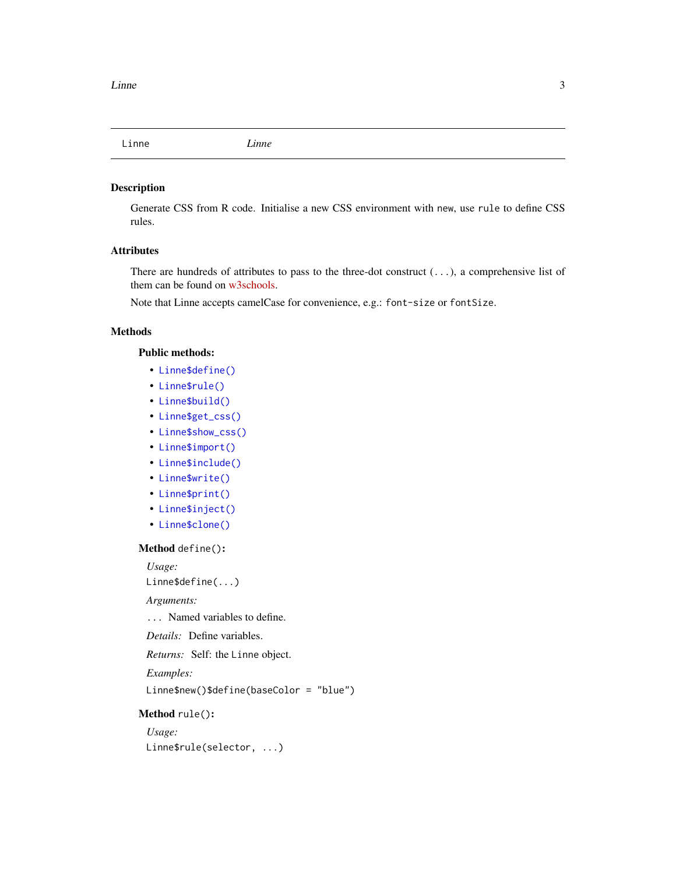<span id="page-2-0"></span>

## Description

Generate CSS from R code. Initialise a new CSS environment with new, use rule to define CSS rules.

## Attributes

There are hundreds of attributes to pass to the three-dot construct (...), a comprehensive list of them can be found on [w3schools.](https://www.w3schools.com/cssref/)

Note that Linne accepts camelCase for convenience, e.g.: font-size or fontSize.

#### Methods

## Public methods:

- [Linne\\$define\(\)](#page-2-1)
- [Linne\\$rule\(\)](#page-2-2)
- [Linne\\$build\(\)](#page-3-0)
- [Linne\\$get\\_css\(\)](#page-3-1)
- [Linne\\$show\\_css\(\)](#page-3-2)
- [Linne\\$import\(\)](#page-4-0)
- [Linne\\$include\(\)](#page-4-1)
- [Linne\\$write\(\)](#page-5-0)
- [Linne\\$print\(\)](#page-5-1)
- [Linne\\$inject\(\)](#page-5-2)
- [Linne\\$clone\(\)](#page-6-0)

#### <span id="page-2-1"></span>Method define():

*Usage:*

Linne\$define(...)

### *Arguments:*

... Named variables to define.

*Details:* Define variables.

*Returns:* Self: the Linne object.

*Examples:*

Linne\$new()\$define(baseColor = "blue")

#### <span id="page-2-2"></span>Method rule():

*Usage:* Linne\$rule(selector, ...)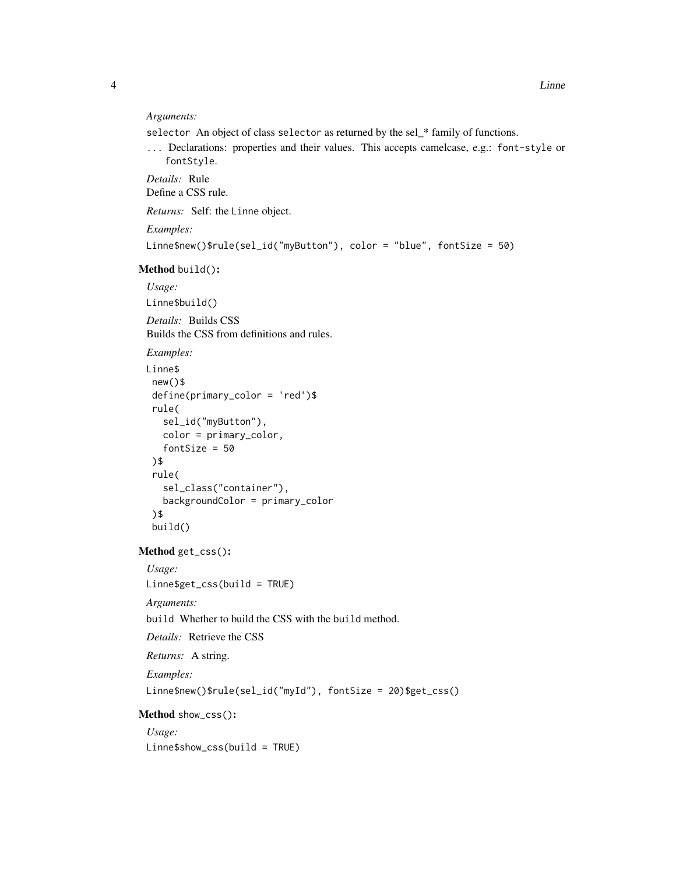#### *Arguments:*

selector An object of class selector as returned by the sel\_\* family of functions.

... Declarations: properties and their values. This accepts camelcase, e.g.: font-style or fontStyle.

*Details:* Rule Define a CSS rule.

*Returns:* Self: the Linne object.

*Examples:*

```
Linne$new()$rule(sel_id("myButton"), color = "blue", fontSize = 50)
```
#### <span id="page-3-0"></span>Method build():

*Usage:*

Linne\$build()

*Details:* Builds CSS Builds the CSS from definitions and rules.

*Examples:*

```
Linne$
new()$
define(primary_color = 'red')$
rule(
   sel_id("myButton"),
  color = primary_color,
  fontSize = 50
 )$
 rule(
   sel_class("container"),
   backgroundColor = primary_color
 )$
 build()
```
<span id="page-3-1"></span>Method get\_css():

*Usage:*

Linne\$get\_css(build = TRUE)

*Arguments:*

build Whether to build the CSS with the build method.

*Details:* Retrieve the CSS

*Returns:* A string.

*Examples:*

Linne\$new()\$rule(sel\_id("myId"), fontSize = 20)\$get\_css()

#### <span id="page-3-2"></span>Method show\_css():

*Usage:* Linne\$show\_css(build = TRUE)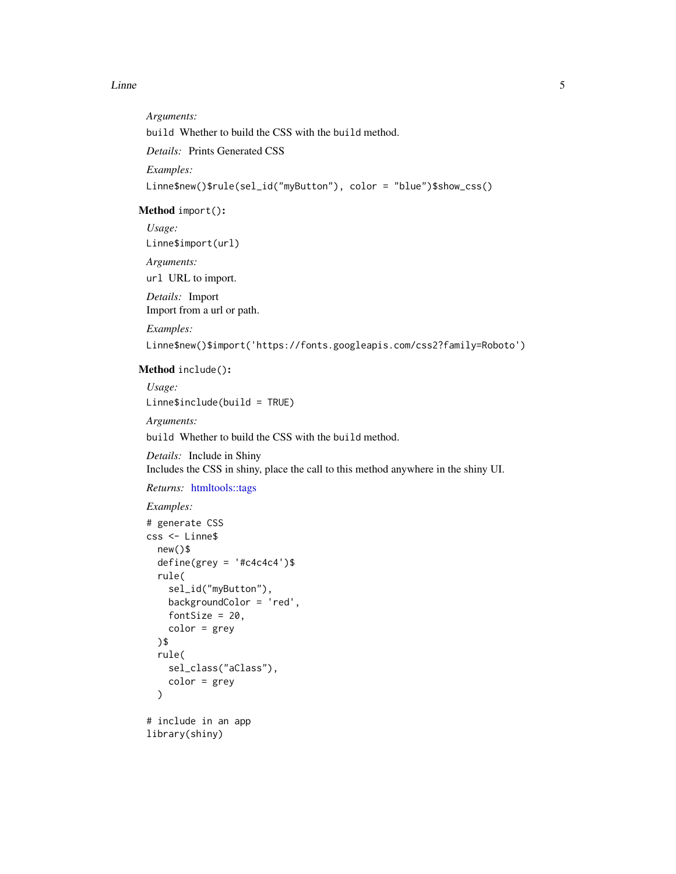#### <span id="page-4-2"></span>Linne 5

*Arguments:* build Whether to build the CSS with the build method. *Details:* Prints Generated CSS *Examples:* Linne\$new()\$rule(sel\_id("myButton"), color = "blue")\$show\_css()

## <span id="page-4-0"></span>Method import():

*Usage:* Linne\$import(url)

*Arguments:*

url URL to import.

*Details:* Import Import from a url or path.

*Examples:*

Linne\$new()\$import('https://fonts.googleapis.com/css2?family=Roboto')

## <span id="page-4-1"></span>Method include():

*Usage:*

Linne\$include(build = TRUE)

*Arguments:*

build Whether to build the CSS with the build method.

*Details:* Include in Shiny Includes the CSS in shiny, place the call to this method anywhere in the shiny UI.

*Returns:* [htmltools::tags](#page-0-0)

## *Examples:*

```
# generate CSS
css <- Linne$
 new()$
 define(grey = '#c4c4c4')$
  rule(
    sel_id("myButton"),
    backgroundColor = 'red',
    fontSize = 20,
    color = grey
 )$
  rule(
    sel_class("aClass"),
    color = grey\mathcal{L}# include in an app
```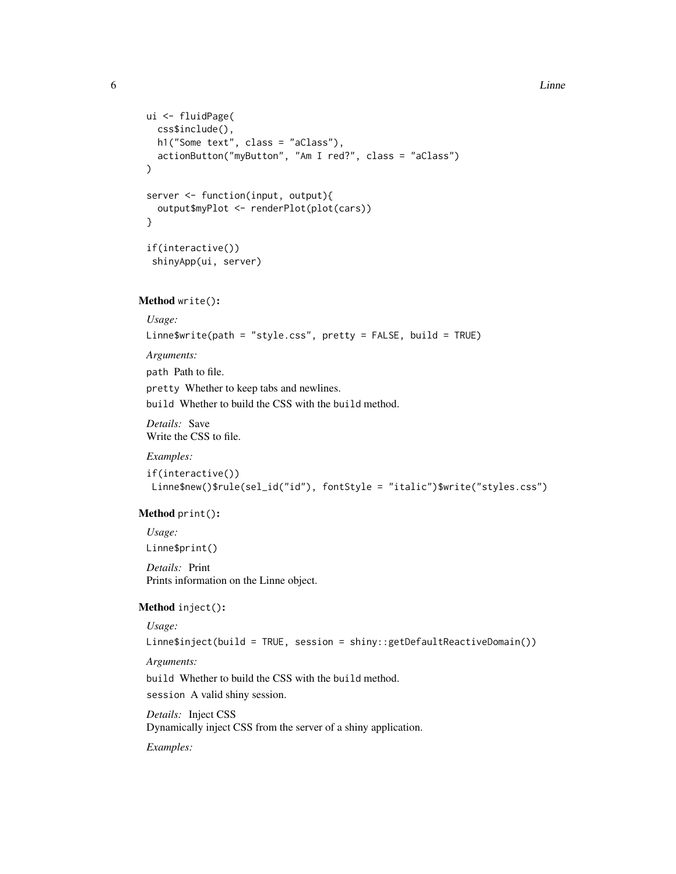#### **6** Communication is the contract of the contract of the contract of the contract of the contract of the contract of the contract of the contract of the contract of the contract of the contract of the contract of the contr

```
ui <- fluidPage(
 css$include(),
 h1("Some text", class = "aClass"),
 actionButton("myButton", "Am I red?", class = "aClass")
)
server <- function(input, output){
  output$myPlot <- renderPlot(plot(cars))
}
if(interactive())
 shinyApp(ui, server)
```
#### <span id="page-5-0"></span>Method write():

*Usage:*

Linne\$write(path = "style.css", pretty = FALSE, build = TRUE)

*Arguments:*

path Path to file. pretty Whether to keep tabs and newlines. build Whether to build the CSS with the build method.

*Details:* Save Write the CSS to file.

#### *Examples:*

```
if(interactive())
Linne$new()$rule(sel_id("id"), fontStyle = "italic")$write("styles.css")
```
#### <span id="page-5-1"></span>Method print():

*Usage:*

Linne\$print()

*Details:* Print Prints information on the Linne object.

## <span id="page-5-2"></span>Method inject():

*Usage:*

Linne\$inject(build = TRUE, session = shiny::getDefaultReactiveDomain())

*Arguments:*

build Whether to build the CSS with the build method.

session A valid shiny session.

*Details:* Inject CSS Dynamically inject CSS from the server of a shiny application.

*Examples:*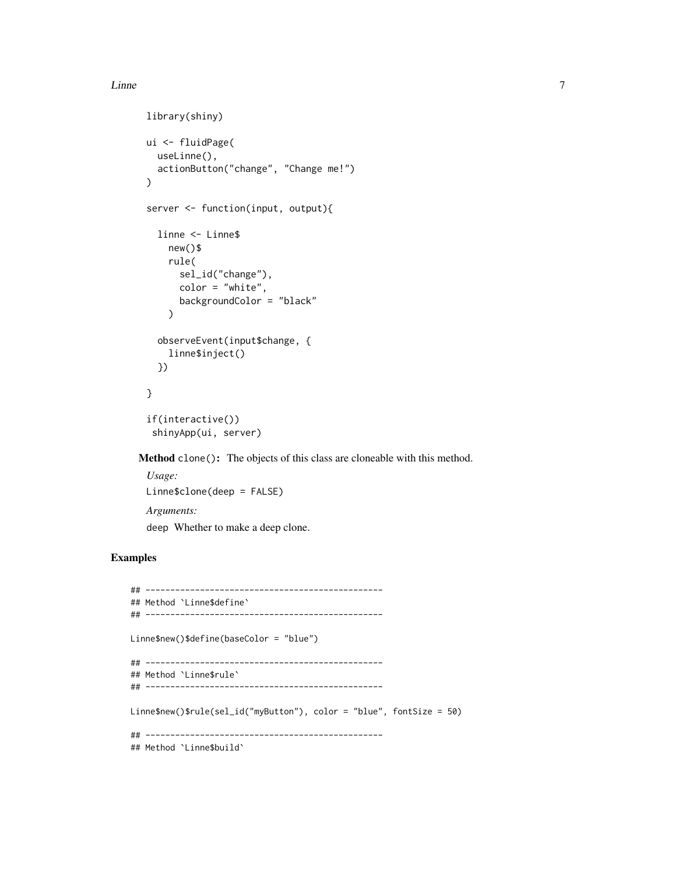#### Linne 7

```
library(shiny)
ui <- fluidPage(
  useLinne(),
  actionButton("change", "Change me!")
)
server <- function(input, output){
  linne <- Linne$
    new()$
    rule(
      sel_id("change"),
      color = "white",backgroundColor = "black"
    )
  observeEvent(input$change, {
    linne$inject()
  })
}
if(interactive())
 shinyApp(ui, server)
```
<span id="page-6-0"></span>Method clone(): The objects of this class are cloneable with this method.

*Usage:* Linne\$clone(deep = FALSE) *Arguments:* deep Whether to make a deep clone.

## Examples

```
## ------------------------------------------------
## Method `Linne$define`
## ------------------------------------------------
Linne$new()$define(baseColor = "blue")
## ------------------------------------------------
## Method `Linne$rule`
## ------------------------------------------------
Linne$new()$rule(sel_id("myButton"), color = "blue", fontSize = 50)
## ------------------------------------------------
## Method `Linne$build`
```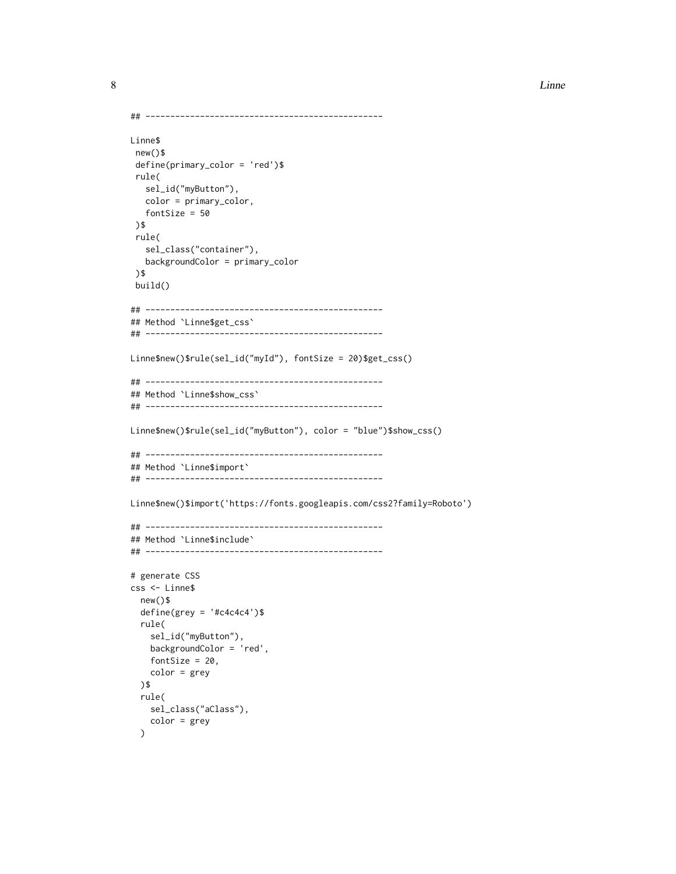```
## ------------------------------------------------
Linne$
new()$
 define(primary_color = 'red')$
 rule(
  sel_id("myButton"),
  color = primary_color,
  fontSize = 50
 )$
 rule(
   sel_class("container"),
  backgroundColor = primary_color
 )$
 build()
## ------------------------------------------------
## Method `Linne$get_css`
## ------------------------------------------------
Linne$new()$rule(sel_id("myId"), fontSize = 20)$get_css()
## ------------------------------------------------
## Method `Linne$show_css`
## ------------------------------------------------
Linne$new()$rule(sel_id("myButton"), color = "blue")$show_css()
## ------------------------------------------------
## Method `Linne$import`
## ------------------------------------------------
Linne$new()$import('https://fonts.googleapis.com/css2?family=Roboto')
## ------------------------------------------------
## Method `Linne$include`
## ------------------------------------------------
# generate CSS
css <- Linne$
  new()$
  define(grey = '#c4c4c4')$
  rule(
    sel_id("myButton"),
   backgroundColor = 'red',
   fontSize = 20,
   color = grey
  )$
  rule(
   sel_class("aClass"),
    color = grey
  )
```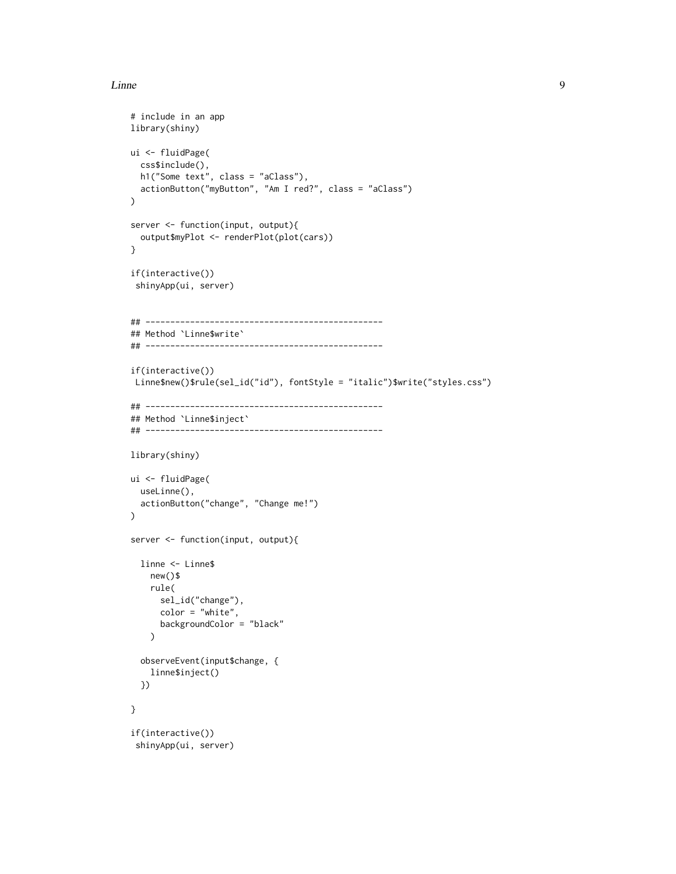#### Linne **9**

```
# include in an app
library(shiny)
ui <- fluidPage(
  css$include(),
  h1("Some text", class = "aClass"),
  actionButton("myButton", "Am I red?", class = "aClass")
\lambdaserver <- function(input, output){
  output$myPlot <- renderPlot(plot(cars))
}
if(interactive())
 shinyApp(ui, server)
## ------------------------------------------------
## Method `Linne$write`
## ------------------------------------------------
if(interactive())
Linne$new()$rule(sel_id("id"), fontStyle = "italic")$write("styles.css")
## ------------------------------------------------
## Method `Linne$inject`
## ------------------------------------------------
library(shiny)
ui <- fluidPage(
  useLinne(),
  actionButton("change", "Change me!")
\lambdaserver <- function(input, output){
  linne <- Linne$
    new()$
    rule(
      sel_id("change"),
      color = "white",
      backgroundColor = "black"
    )
  observeEvent(input$change, {
    linne$inject()
  })
}
if(interactive())
 shinyApp(ui, server)
```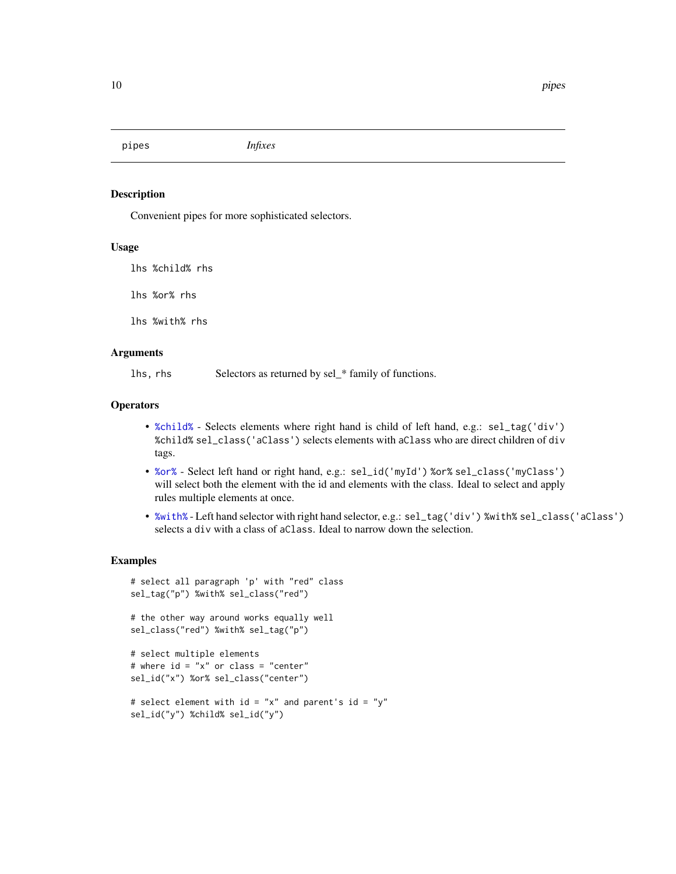<span id="page-9-0"></span>pipes *Infixes*

## <span id="page-9-1"></span>Description

Convenient pipes for more sophisticated selectors.

#### Usage

lhs %child% rhs lhs %or% rhs lhs %with% rhs

### Arguments

lhs, rhs Selectors as returned by sel\_\* family of functions.

### **Operators**

- [%child%](#page-9-1) Selects elements where right hand is child of left hand, e.g.: sel\_tag('div') %child% sel\_class('aClass') selects elements with aClass who are direct children of div tags.
- [%or%](#page-9-1) Select left hand or right hand, e.g.: sel\_id('myId') %or% sel\_class('myClass') will select both the element with the id and elements with the class. Ideal to select and apply rules multiple elements at once.
- [%with%](#page-9-1) Left hand selector with right hand selector, e.g.: sel\_tag('div') %with% sel\_class('aClass') selects a div with a class of aClass. Ideal to narrow down the selection.

#### Examples

```
# select all paragraph 'p' with "red" class
sel_tag("p") %with% sel_class("red")
```

```
# the other way around works equally well
sel_class("red") %with% sel_tag("p")
```

```
# select multiple elements
# where id = "x" or class = "center"
sel_id("x") %or% sel_class("center")
```

```
# select element with id = "x" and parent's id = "y"
sel_id("y") %child% sel_id("y")
```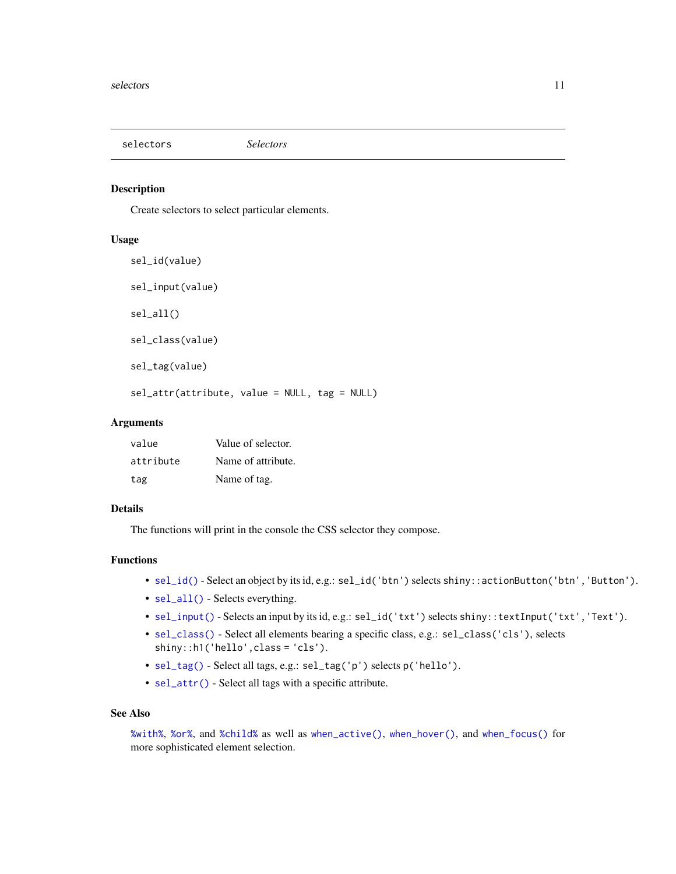<span id="page-10-2"></span><span id="page-10-0"></span>selectors *Selectors*

#### <span id="page-10-1"></span>Description

Create selectors to select particular elements.

#### Usage

```
sel_id(value)
sel_input(value)
sel_all()
sel_class(value)
sel_tag(value)
sel_attr(attribute, value = NULL, tag = NULL)
```
## Arguments

| value     | Value of selector. |
|-----------|--------------------|
| attribute | Name of attribute. |
| tag       | Name of tag.       |

## Details

The functions will print in the console the CSS selector they compose.

## Functions

- [sel\\_id\(\)](#page-10-1) Select an object by its id, e.g.: sel\_id('btn') selects shiny::actionButton('btn','Button').
- [sel\\_all\(\)](#page-10-1) Selects everything.
- [sel\\_input\(\)](#page-10-1) Selects an input by its id, e.g.: sel\_id('txt') selects shiny::textInput('txt','Text').
- [sel\\_class\(\)](#page-10-1) Select all elements bearing a specific class, e.g.: sel\_class('cls'), selects shiny::h1('hello',class = 'cls').
- [sel\\_tag\(\)](#page-10-1) Select all tags, e.g.: sel\_tag('p') selects p('hello').
- [sel\\_attr\(\)](#page-10-1) Select all tags with a specific attribute.

## See Also

[%with%](#page-9-1), [%or%](#page-9-1), and [%child%](#page-9-1) as well as [when\\_active\(\)](#page-11-1), [when\\_hover\(\)](#page-11-1), and [when\\_focus\(\)](#page-11-1) for more sophisticated element selection.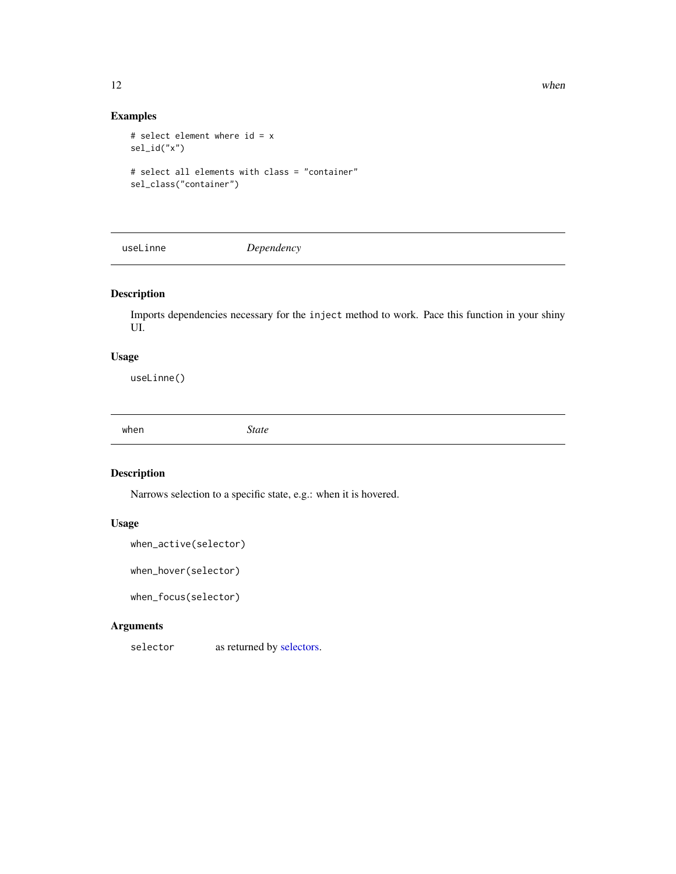## Examples

```
# select element where id = x
sel_id("x")
# select all elements with class = "container"
```
sel\_class("container")

useLinne *Dependency*

## Description

Imports dependencies necessary for the inject method to work. Pace this function in your shiny UI.

## Usage

useLinne()

when *State*

## <span id="page-11-1"></span>Description

Narrows selection to a specific state, e.g.: when it is hovered.

## Usage

```
when_active(selector)
```
when\_hover(selector)

when\_focus(selector)

## Arguments

selector as returned by [selectors.](#page-10-2)

<span id="page-11-0"></span>